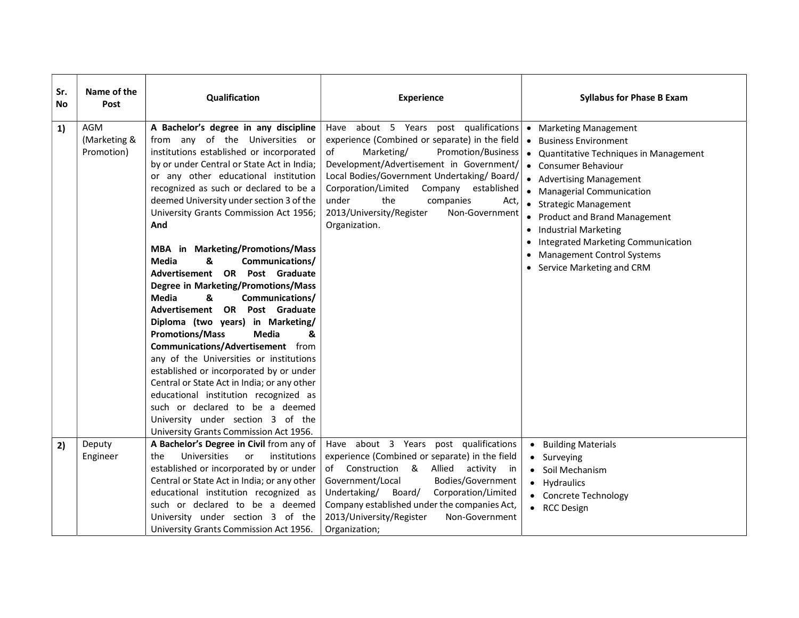| Sr.<br>No | Name of the<br>Post               | Qualification                                                                                                                                                                                                                                                                                                                                                                                                                                                                                                                                                                                                                                                                                                                                                                                                                                                                                                                                                                                                | <b>Experience</b>                                                                                                                                                                                                                                                                                                                                                                        | <b>Syllabus for Phase B Exam</b>                                                                                                                                                                                                                                                                                                                                                                                                                  |
|-----------|-----------------------------------|--------------------------------------------------------------------------------------------------------------------------------------------------------------------------------------------------------------------------------------------------------------------------------------------------------------------------------------------------------------------------------------------------------------------------------------------------------------------------------------------------------------------------------------------------------------------------------------------------------------------------------------------------------------------------------------------------------------------------------------------------------------------------------------------------------------------------------------------------------------------------------------------------------------------------------------------------------------------------------------------------------------|------------------------------------------------------------------------------------------------------------------------------------------------------------------------------------------------------------------------------------------------------------------------------------------------------------------------------------------------------------------------------------------|---------------------------------------------------------------------------------------------------------------------------------------------------------------------------------------------------------------------------------------------------------------------------------------------------------------------------------------------------------------------------------------------------------------------------------------------------|
| 1)        | AGM<br>(Marketing &<br>Promotion) | A Bachelor's degree in any discipline<br>from any of the Universities or<br>institutions established or incorporated<br>by or under Central or State Act in India;<br>or any other educational institution<br>recognized as such or declared to be a<br>deemed University under section 3 of the<br>University Grants Commission Act 1956;<br>And<br>MBA in Marketing/Promotions/Mass<br><b>Media</b><br>&<br>Communications/<br>Advertisement OR Post Graduate<br>Degree in Marketing/Promotions/Mass<br><b>Media</b><br>&<br>Communications/<br>Advertisement OR<br>Post Graduate<br>Diploma (two years) in Marketing/<br><b>Promotions/Mass</b><br><b>Media</b><br>&<br>Communications/Advertisement from<br>any of the Universities or institutions<br>established or incorporated by or under<br>Central or State Act in India; or any other<br>educational institution recognized as<br>such or declared to be a deemed<br>University under section 3 of the<br>University Grants Commission Act 1956. | about 5 Years post qualifications<br>Have<br>experience (Combined or separate) in the field<br>Marketing/<br><b>Promotion/Business</b><br>of<br>Development/Advertisement in Government/<br>Local Bodies/Government Undertaking/Board/<br>Corporation/Limited<br>Company established<br>under<br>the<br>companies<br>Act,<br>2013/University/Register<br>Non-Government<br>Organization. | <b>Marketing Management</b><br>$\bullet$<br><b>Business Environment</b><br>$\bullet$<br>Quantitative Techniques in Management<br>$\bullet$<br>• Consumer Behaviour<br>• Advertising Management<br>• Managerial Communication<br>• Strategic Management<br><b>Product and Brand Management</b><br><b>Industrial Marketing</b><br>Integrated Marketing Communication<br>$\bullet$<br><b>Management Control Systems</b><br>Service Marketing and CRM |
| 2)        | Deputy<br>Engineer                | A Bachelor's Degree in Civil from any of<br>Universities<br>or<br>institutions<br>the<br>established or incorporated by or under<br>Central or State Act in India; or any other<br>educational institution recognized as<br>such or declared to be a deemed<br>University under section 3 of the<br>University Grants Commission Act 1956.                                                                                                                                                                                                                                                                                                                                                                                                                                                                                                                                                                                                                                                                   | Have about 3 Years post qualifications<br>experience (Combined or separate) in the field<br>Construction &<br>of<br>Allied<br>activity<br>in i<br>Government/Local<br>Bodies/Government<br>Undertaking/<br>Corporation/Limited<br>Board/<br>Company established under the companies Act,<br>2013/University/Register<br>Non-Government<br>Organization;                                  | <b>Building Materials</b><br>Surveying<br>Soil Mechanism<br>Hydraulics<br>$\bullet$<br><b>Concrete Technology</b><br>$\bullet$<br>• RCC Design                                                                                                                                                                                                                                                                                                    |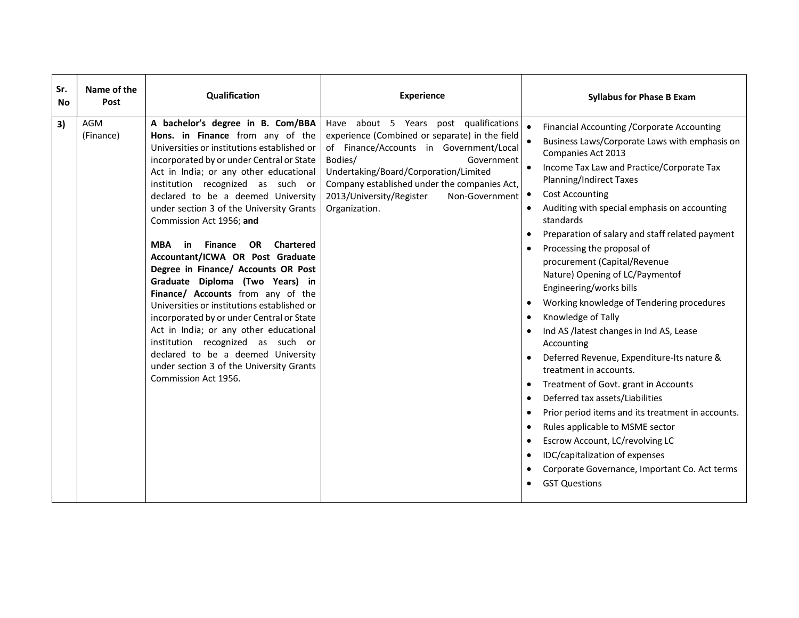| Sr.<br>No. | Name of the<br>Post | Qualification                                                                                                                                                                                                                                                                                                                                                                                                                                                                                                                                                                                                                                                                                                                                                                                                                                                    | <b>Experience</b>                                                                                                                                                                                                                                                                                                    | <b>Syllabus for Phase B Exam</b>                                                                                                                                                                                                                                                                                                                                                                                                                                                                                                                                                                                                                                                                                                                                                                                                                                                                                                                                                                                                                                                                                                                                           |
|------------|---------------------|------------------------------------------------------------------------------------------------------------------------------------------------------------------------------------------------------------------------------------------------------------------------------------------------------------------------------------------------------------------------------------------------------------------------------------------------------------------------------------------------------------------------------------------------------------------------------------------------------------------------------------------------------------------------------------------------------------------------------------------------------------------------------------------------------------------------------------------------------------------|----------------------------------------------------------------------------------------------------------------------------------------------------------------------------------------------------------------------------------------------------------------------------------------------------------------------|----------------------------------------------------------------------------------------------------------------------------------------------------------------------------------------------------------------------------------------------------------------------------------------------------------------------------------------------------------------------------------------------------------------------------------------------------------------------------------------------------------------------------------------------------------------------------------------------------------------------------------------------------------------------------------------------------------------------------------------------------------------------------------------------------------------------------------------------------------------------------------------------------------------------------------------------------------------------------------------------------------------------------------------------------------------------------------------------------------------------------------------------------------------------------|
| 3)         | AGM<br>(Finance)    | A bachelor's degree in B. Com/BBA<br>Hons. in Finance from any of the<br>Universities or institutions established or<br>incorporated by or under Central or State<br>Act in India; or any other educational<br>institution recognized as such or<br>declared to be a deemed University<br>under section 3 of the University Grants<br>Commission Act 1956; and<br><b>Chartered</b><br>MBA<br>in<br><b>Finance</b><br>OR.<br>Accountant/ICWA OR Post Graduate<br>Degree in Finance/ Accounts OR Post<br>Graduate Diploma (Two Years) in<br>Finance/ Accounts from any of the<br>Universities or institutions established or<br>incorporated by or under Central or State<br>Act in India; or any other educational<br>institution recognized as such or<br>declared to be a deemed University<br>under section 3 of the University Grants<br>Commission Act 1956. | Have about 5 Years post qualifications<br>experience (Combined or separate) in the field<br>of Finance/Accounts in Government/Local<br>Bodies/<br>Government<br>Undertaking/Board/Corporation/Limited<br>Company established under the companies Act,<br>2013/University/Register<br>Non-Government<br>Organization. | Financial Accounting / Corporate Accounting<br>Business Laws/Corporate Laws with emphasis on<br>Companies Act 2013<br>Income Tax Law and Practice/Corporate Tax<br>$\bullet$<br><b>Planning/Indirect Taxes</b><br><b>Cost Accounting</b><br>$\bullet$<br>Auditing with special emphasis on accounting<br>$\bullet$<br>standards<br>Preparation of salary and staff related payment<br>$\bullet$<br>Processing the proposal of<br>$\bullet$<br>procurement (Capital/Revenue<br>Nature) Opening of LC/Paymentof<br>Engineering/works bills<br>Working knowledge of Tendering procedures<br>$\bullet$<br>Knowledge of Tally<br>$\bullet$<br>Ind AS /latest changes in Ind AS, Lease<br>Accounting<br>Deferred Revenue, Expenditure-Its nature &<br>treatment in accounts.<br>Treatment of Govt. grant in Accounts<br>$\bullet$<br>Deferred tax assets/Liabilities<br>$\bullet$<br>Prior period items and its treatment in accounts.<br>$\bullet$<br>Rules applicable to MSME sector<br>$\bullet$<br>Escrow Account, LC/revolving LC<br>$\bullet$<br>IDC/capitalization of expenses<br>$\bullet$<br>Corporate Governance, Important Co. Act terms<br>٠<br><b>GST Questions</b> |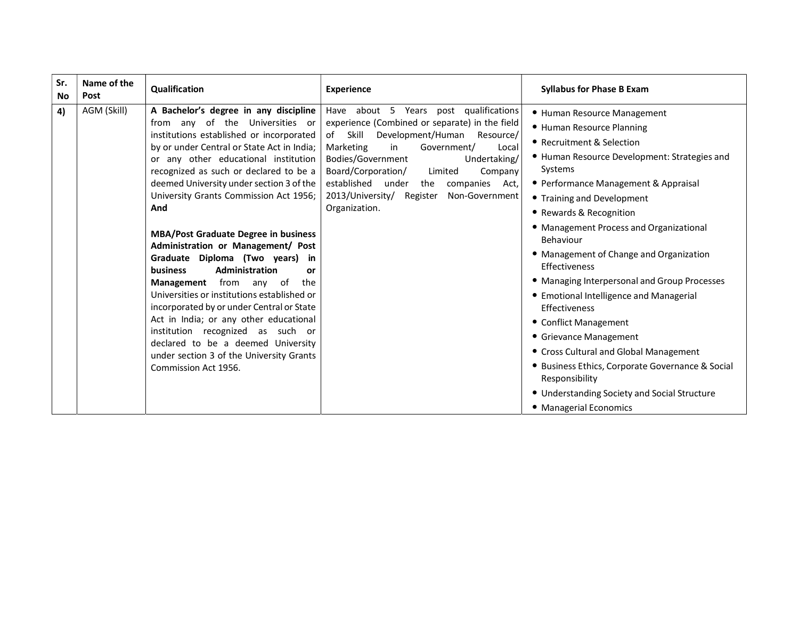| Sr.<br>Name of the<br>Qualification<br><b>Experience</b><br>Post<br>No                                                                                                                                                                                                                                                                                                                                                                                                                                                                                                                                                                                                                                                                                                                                                                                                                                                                                                                                                                                                                                                                                                                                                                                                                                                                                | <b>Syllabus for Phase B Exam</b>                                                                                                                                                                                                                                                                                                                                                                                                                                                                                                                                                                                                                   |
|-------------------------------------------------------------------------------------------------------------------------------------------------------------------------------------------------------------------------------------------------------------------------------------------------------------------------------------------------------------------------------------------------------------------------------------------------------------------------------------------------------------------------------------------------------------------------------------------------------------------------------------------------------------------------------------------------------------------------------------------------------------------------------------------------------------------------------------------------------------------------------------------------------------------------------------------------------------------------------------------------------------------------------------------------------------------------------------------------------------------------------------------------------------------------------------------------------------------------------------------------------------------------------------------------------------------------------------------------------|----------------------------------------------------------------------------------------------------------------------------------------------------------------------------------------------------------------------------------------------------------------------------------------------------------------------------------------------------------------------------------------------------------------------------------------------------------------------------------------------------------------------------------------------------------------------------------------------------------------------------------------------------|
| AGM (Skill)<br>A Bachelor's degree in any discipline  <br>Have about 5 Years post qualifications<br>4)<br>experience (Combined or separate) in the field<br>from any of the Universities or<br>institutions established or incorporated<br>Skill<br>Development/Human<br>of<br>Resource/<br>by or under Central or State Act in India;<br>Marketing<br>in<br>Government/<br>Local<br>or any other educational institution<br>Bodies/Government<br>Undertaking/<br>Systems<br>recognized as such or declared to be a<br>Board/Corporation/<br>Limited<br>Company<br>deemed University under section 3 of the<br>established<br>under<br>companies<br>the<br>Act,<br>University Grants Commission Act 1956;<br>2013/University/ Register Non-Government<br>Organization.<br>And<br><b>MBA/Post Graduate Degree in business</b><br>Behaviour<br>Administration or Management/ Post<br>Graduate Diploma (Two years) in<br>Effectiveness<br>Administration<br><b>business</b><br>or<br><b>Management</b> from any of<br>the<br>Universities or institutions established or<br>incorporated by or under Central or State<br><b>Effectiveness</b><br>Act in India; or any other educational<br>institution recognized as such or<br>declared to be a deemed University<br>under section 3 of the University Grants<br>Commission Act 1956.<br>Responsibility | • Human Resource Management<br>• Human Resource Planning<br>• Recruitment & Selection<br>• Human Resource Development: Strategies and<br>• Performance Management & Appraisal<br>• Training and Development<br>• Rewards & Recognition<br>• Management Process and Organizational<br>• Management of Change and Organization<br>• Managing Interpersonal and Group Processes<br>• Emotional Intelligence and Managerial<br>• Conflict Management<br>• Grievance Management<br>• Cross Cultural and Global Management<br>• Business Ethics, Corporate Governance & Social<br>• Understanding Society and Social Structure<br>• Managerial Economics |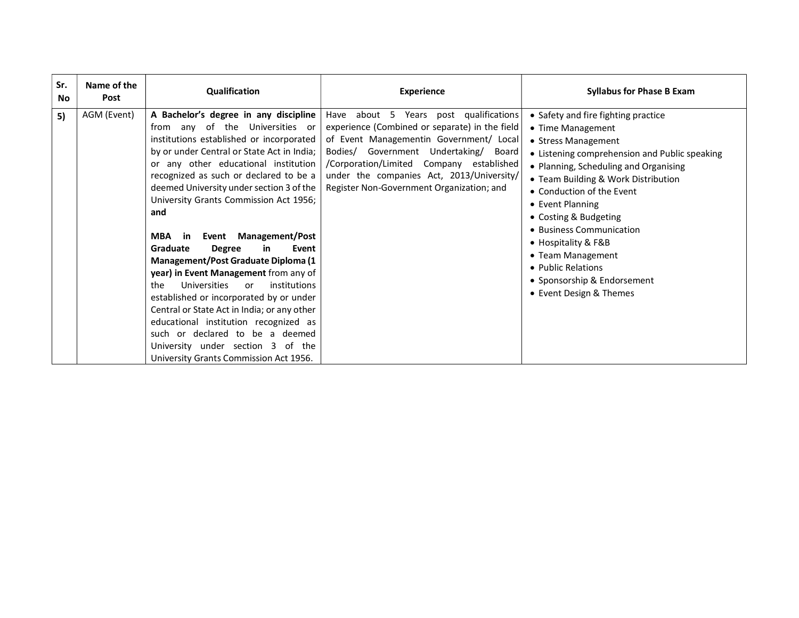| Sr.<br>No. | Name of the<br>Post | Qualification                                                                                                                                                                                                                                                                                                                                                                                                                                                                                                                                                                                                                                                                                                                                                                                                                               | <b>Experience</b>                                                                                                                                                                                                                                                                                                  | <b>Syllabus for Phase B Exam</b>                                                                                                                                                                                                                                                                                                                                                                                                                   |
|------------|---------------------|---------------------------------------------------------------------------------------------------------------------------------------------------------------------------------------------------------------------------------------------------------------------------------------------------------------------------------------------------------------------------------------------------------------------------------------------------------------------------------------------------------------------------------------------------------------------------------------------------------------------------------------------------------------------------------------------------------------------------------------------------------------------------------------------------------------------------------------------|--------------------------------------------------------------------------------------------------------------------------------------------------------------------------------------------------------------------------------------------------------------------------------------------------------------------|----------------------------------------------------------------------------------------------------------------------------------------------------------------------------------------------------------------------------------------------------------------------------------------------------------------------------------------------------------------------------------------------------------------------------------------------------|
| 5)         | AGM (Event)         | A Bachelor's degree in any discipline<br>from any of the Universities or<br>institutions established or incorporated<br>by or under Central or State Act in India;<br>or any other educational institution<br>recognized as such or declared to be a<br>deemed University under section 3 of the<br>University Grants Commission Act 1956;<br>and<br><b>Management/Post</b><br><b>MBA</b><br>Event<br>-in<br>Graduate<br>Event<br><b>Degree</b><br>in.<br>Management/Post Graduate Diploma (1<br>year) in Event Management from any of<br>Universities<br>institutions<br>the<br>or<br>established or incorporated by or under<br>Central or State Act in India; or any other<br>educational institution recognized as<br>such or declared to be a deemed<br>University under section 3<br>of the<br>University Grants Commission Act 1956. | Have about 5 Years post qualifications<br>experience (Combined or separate) in the field<br>of Event Managementin Government/ Local<br>Bodies/ Government Undertaking/ Board<br>/Corporation/Limited Company established<br>under the companies Act, 2013/University/<br>Register Non-Government Organization; and | • Safety and fire fighting practice<br>• Time Management<br>• Stress Management<br>• Listening comprehension and Public speaking<br>• Planning, Scheduling and Organising<br>• Team Building & Work Distribution<br>• Conduction of the Event<br>• Event Planning<br>• Costing & Budgeting<br>• Business Communication<br>• Hospitality & F&B<br>• Team Management<br>• Public Relations<br>• Sponsorship & Endorsement<br>• Event Design & Themes |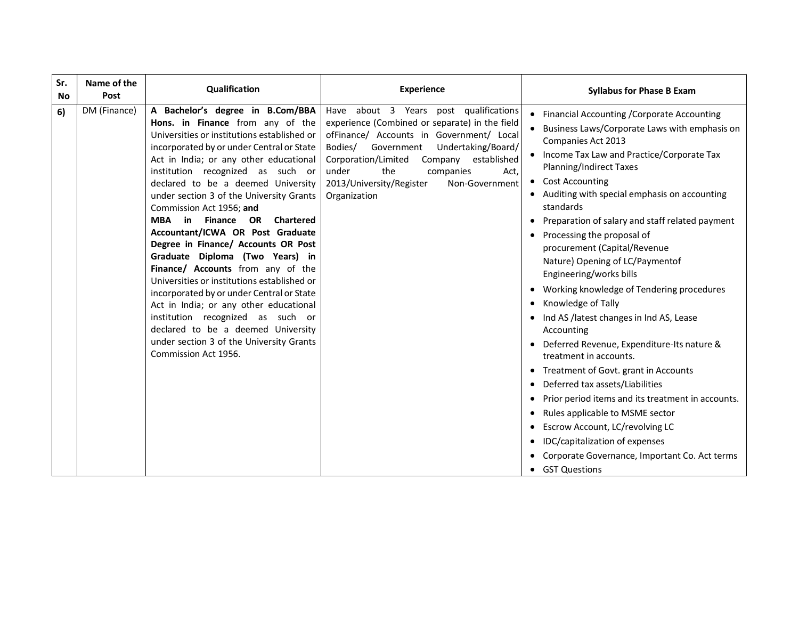| Sr.<br><b>No</b> | Name of the<br>Post | Qualification                                                                                                                                                                                                                                                                                                                                                                                                                                                                                                                                                                                                                                                                                                                                                                                                                                     | <b>Experience</b>                                                                                                                                                                                                                                                                                                                       | <b>Syllabus for Phase B Exam</b>                                                                                                                                                                                                                                                                                                                                                                                                                                                                                                                                                                                                                                                                                                                                                                                                                                                                                                                                                                                                                                     |
|------------------|---------------------|---------------------------------------------------------------------------------------------------------------------------------------------------------------------------------------------------------------------------------------------------------------------------------------------------------------------------------------------------------------------------------------------------------------------------------------------------------------------------------------------------------------------------------------------------------------------------------------------------------------------------------------------------------------------------------------------------------------------------------------------------------------------------------------------------------------------------------------------------|-----------------------------------------------------------------------------------------------------------------------------------------------------------------------------------------------------------------------------------------------------------------------------------------------------------------------------------------|----------------------------------------------------------------------------------------------------------------------------------------------------------------------------------------------------------------------------------------------------------------------------------------------------------------------------------------------------------------------------------------------------------------------------------------------------------------------------------------------------------------------------------------------------------------------------------------------------------------------------------------------------------------------------------------------------------------------------------------------------------------------------------------------------------------------------------------------------------------------------------------------------------------------------------------------------------------------------------------------------------------------------------------------------------------------|
| 6)               | DM (Finance)        | A Bachelor's degree in B.Com/BBA<br>Hons. in Finance from any of the<br>Universities or institutions established or<br>incorporated by or under Central or State<br>Act in India; or any other educational<br>institution recognized as such or<br>declared to be a deemed University<br>under section 3 of the University Grants<br>Commission Act 1956; and<br>MBA in Finance<br><b>Chartered</b><br>OR<br>Accountant/ICWA OR Post Graduate<br>Degree in Finance/ Accounts OR Post<br>Graduate Diploma (Two Years) in<br>Finance/ Accounts from any of the<br>Universities or institutions established or<br>incorporated by or under Central or State<br>Act in India; or any other educational<br>institution recognized as such or<br>declared to be a deemed University<br>under section 3 of the University Grants<br>Commission Act 1956. | Have about 3 Years post qualifications<br>experience (Combined or separate) in the field<br>ofFinance/ Accounts in Government/ Local<br>Bodies/<br>Government<br>Undertaking/Board/<br>Corporation/Limited<br>Company<br>established<br>under<br>the<br>companies<br>Act,<br>2013/University/Register<br>Non-Government<br>Organization | Financial Accounting / Corporate Accounting<br>Business Laws/Corporate Laws with emphasis on<br>Companies Act 2013<br>Income Tax Law and Practice/Corporate Tax<br><b>Planning/Indirect Taxes</b><br><b>Cost Accounting</b><br>$\bullet$<br>• Auditing with special emphasis on accounting<br>standards<br>Preparation of salary and staff related payment<br>Processing the proposal of<br>procurement (Capital/Revenue<br>Nature) Opening of LC/Paymentof<br>Engineering/works bills<br>Working knowledge of Tendering procedures<br>$\bullet$<br>Knowledge of Tally<br>Ind AS /latest changes in Ind AS, Lease<br>Accounting<br>Deferred Revenue, Expenditure-Its nature &<br>treatment in accounts.<br>Treatment of Govt. grant in Accounts<br>$\bullet$<br>Deferred tax assets/Liabilities<br>Prior period items and its treatment in accounts.<br>$\bullet$<br>Rules applicable to MSME sector<br>Escrow Account, LC/revolving LC<br>٠<br>IDC/capitalization of expenses<br>Corporate Governance, Important Co. Act terms<br><b>GST Questions</b><br>$\bullet$ |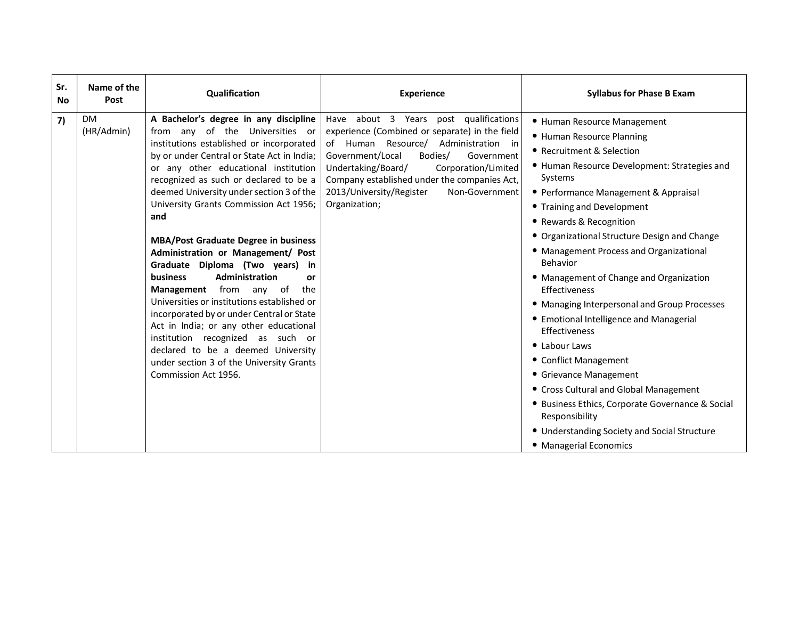| Sr.<br>No. | Name of the<br>Post     | Qualification                                                                                                                                                                                                                                                                                                                                                                                                                                                                                                                                                                                                                                                                                                                                                                                                                                 | <b>Experience</b>                                                                                                                                                                                                                                                                                                                         | <b>Syllabus for Phase B Exam</b>                                                                                                                                                                                                                                                                                                                                                                                                                                                                                                                                                                                                                                                                                                                                                               |
|------------|-------------------------|-----------------------------------------------------------------------------------------------------------------------------------------------------------------------------------------------------------------------------------------------------------------------------------------------------------------------------------------------------------------------------------------------------------------------------------------------------------------------------------------------------------------------------------------------------------------------------------------------------------------------------------------------------------------------------------------------------------------------------------------------------------------------------------------------------------------------------------------------|-------------------------------------------------------------------------------------------------------------------------------------------------------------------------------------------------------------------------------------------------------------------------------------------------------------------------------------------|------------------------------------------------------------------------------------------------------------------------------------------------------------------------------------------------------------------------------------------------------------------------------------------------------------------------------------------------------------------------------------------------------------------------------------------------------------------------------------------------------------------------------------------------------------------------------------------------------------------------------------------------------------------------------------------------------------------------------------------------------------------------------------------------|
| 7)         | <b>DM</b><br>(HR/Admin) | A Bachelor's degree in any discipline<br>from any of the Universities or<br>institutions established or incorporated<br>by or under Central or State Act in India;<br>or any other educational institution<br>recognized as such or declared to be a<br>deemed University under section 3 of the<br>University Grants Commission Act 1956;<br>and<br><b>MBA/Post Graduate Degree in business</b><br>Administration or Management/ Post<br>Graduate Diploma (Two years)<br>in<br>Administration<br><b>business</b><br>or<br>Management from any of<br>the<br>Universities or institutions established or<br>incorporated by or under Central or State<br>Act in India; or any other educational<br>institution recognized as such or<br>declared to be a deemed University<br>under section 3 of the University Grants<br>Commission Act 1956. | Have about 3 Years post qualifications<br>experience (Combined or separate) in the field<br>of Human Resource/ Administration in<br>Government/Local<br>Bodies/<br>Government<br>Undertaking/Board/<br>Corporation/Limited<br>Company established under the companies Act,<br>2013/University/Register<br>Non-Government<br>Organization; | • Human Resource Management<br>• Human Resource Planning<br>• Recruitment & Selection<br>• Human Resource Development: Strategies and<br>Systems<br>• Performance Management & Appraisal<br>• Training and Development<br>• Rewards & Recognition<br>• Organizational Structure Design and Change<br>• Management Process and Organizational<br>Behavior<br>• Management of Change and Organization<br>Effectiveness<br>• Managing Interpersonal and Group Processes<br>• Emotional Intelligence and Managerial<br>Effectiveness<br>• Labour Laws<br>• Conflict Management<br>• Grievance Management<br>• Cross Cultural and Global Management<br>• Business Ethics, Corporate Governance & Social<br>Responsibility<br>• Understanding Society and Social Structure<br>• Managerial Economics |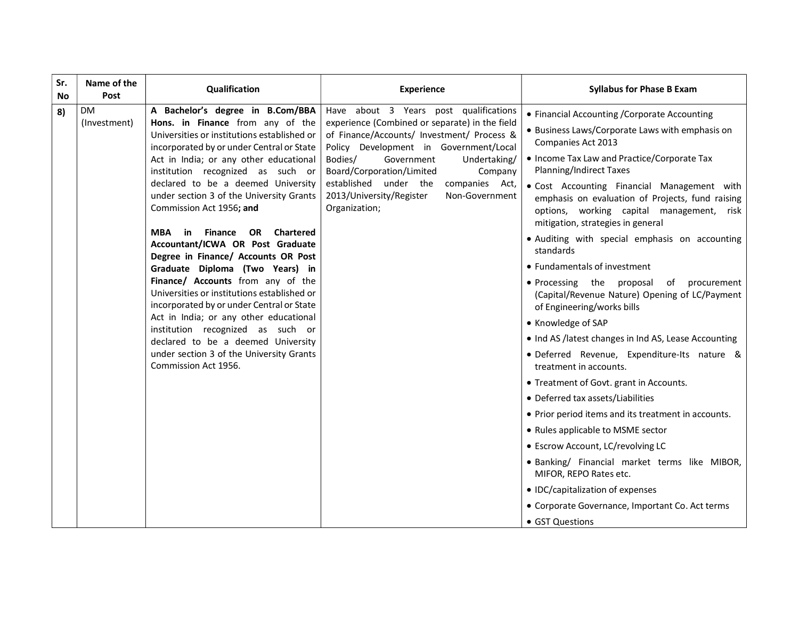| Sr.<br>No | Name of the<br>Post       | Qualification                                                                                                                                                                                                                                                                                                                                                                                                                                                                                                                                                                                                                                                                                                                                                                                                                                                         | <b>Experience</b>                                                                                                                                                                                                                                                                                                                                                           | <b>Syllabus for Phase B Exam</b>                                                                                                                                                                                                                                                                                                                                                                                                                                                                                                                                                                                                                                                                                                                                                                                                                                                                                                                                                                                                                                                                                                                                         |
|-----------|---------------------------|-----------------------------------------------------------------------------------------------------------------------------------------------------------------------------------------------------------------------------------------------------------------------------------------------------------------------------------------------------------------------------------------------------------------------------------------------------------------------------------------------------------------------------------------------------------------------------------------------------------------------------------------------------------------------------------------------------------------------------------------------------------------------------------------------------------------------------------------------------------------------|-----------------------------------------------------------------------------------------------------------------------------------------------------------------------------------------------------------------------------------------------------------------------------------------------------------------------------------------------------------------------------|--------------------------------------------------------------------------------------------------------------------------------------------------------------------------------------------------------------------------------------------------------------------------------------------------------------------------------------------------------------------------------------------------------------------------------------------------------------------------------------------------------------------------------------------------------------------------------------------------------------------------------------------------------------------------------------------------------------------------------------------------------------------------------------------------------------------------------------------------------------------------------------------------------------------------------------------------------------------------------------------------------------------------------------------------------------------------------------------------------------------------------------------------------------------------|
| 8)        | <b>DM</b><br>(Investment) | A Bachelor's degree in B.Com/BBA<br>Hons. in Finance from any of the<br>Universities or institutions established or<br>incorporated by or under Central or State<br>Act in India; or any other educational<br>institution recognized as such or<br>declared to be a deemed University<br>under section 3 of the University Grants<br>Commission Act 1956; and<br><b>Finance</b><br><b>Chartered</b><br>MBA<br>in<br><b>OR</b><br>Accountant/ICWA OR Post Graduate<br>Degree in Finance/ Accounts OR Post<br>Graduate Diploma (Two Years) in<br>Finance/ Accounts from any of the<br>Universities or institutions established or<br>incorporated by or under Central or State<br>Act in India; or any other educational<br>institution recognized as such or<br>declared to be a deemed University<br>under section 3 of the University Grants<br>Commission Act 1956. | Have about 3 Years post qualifications<br>experience (Combined or separate) in the field<br>of Finance/Accounts/ Investment/ Process &<br>Policy Development in Government/Local<br>Bodies/<br>Government<br>Undertaking/<br>Board/Corporation/Limited<br>Company<br>established under the<br>companies Act,<br>2013/University/Register<br>Non-Government<br>Organization; | • Financial Accounting / Corporate Accounting<br>• Business Laws/Corporate Laws with emphasis on<br>Companies Act 2013<br>• Income Tax Law and Practice/Corporate Tax<br><b>Planning/Indirect Taxes</b><br>. Cost Accounting Financial Management with<br>emphasis on evaluation of Projects, fund raising<br>options, working capital management, risk<br>mitigation, strategies in general<br>· Auditing with special emphasis on accounting<br>standards<br>• Fundamentals of investment<br>• Processing the proposal<br>of<br>procurement<br>(Capital/Revenue Nature) Opening of LC/Payment<br>of Engineering/works bills<br>• Knowledge of SAP<br>. Ind AS /latest changes in Ind AS, Lease Accounting<br>· Deferred Revenue, Expenditure-Its nature &<br>treatment in accounts.<br>• Treatment of Govt. grant in Accounts.<br>• Deferred tax assets/Liabilities<br>• Prior period items and its treatment in accounts.<br>• Rules applicable to MSME sector<br>• Escrow Account, LC/revolving LC<br>· Banking/ Financial market terms like MIBOR,<br>MIFOR, REPO Rates etc.<br>• IDC/capitalization of expenses<br>• Corporate Governance, Important Co. Act terms |
|           |                           |                                                                                                                                                                                                                                                                                                                                                                                                                                                                                                                                                                                                                                                                                                                                                                                                                                                                       |                                                                                                                                                                                                                                                                                                                                                                             | • GST Questions                                                                                                                                                                                                                                                                                                                                                                                                                                                                                                                                                                                                                                                                                                                                                                                                                                                                                                                                                                                                                                                                                                                                                          |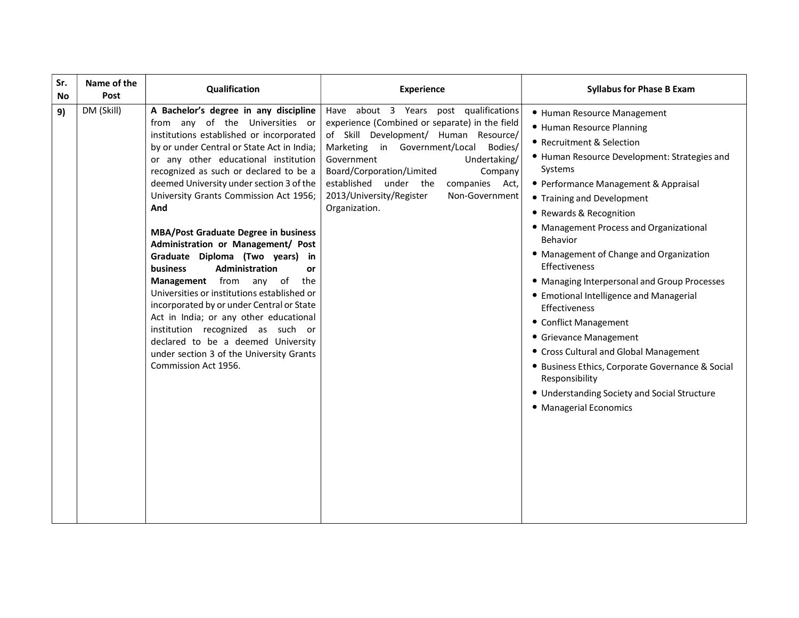| Sr.<br>Name of the<br>Post<br>No | Qualification                                                                                                                                                                                                                                                                                                                                                                                                                                                                                                                                                                                                                                                                                                                                                                                                                           | <b>Experience</b>                                                                                                                                                                                                                                                                                                                                       | <b>Syllabus for Phase B Exam</b>                                                                                                                                                                                                                                                                                                                                                                                                                                                                                                                                                                                                                                                                                              |
|----------------------------------|-----------------------------------------------------------------------------------------------------------------------------------------------------------------------------------------------------------------------------------------------------------------------------------------------------------------------------------------------------------------------------------------------------------------------------------------------------------------------------------------------------------------------------------------------------------------------------------------------------------------------------------------------------------------------------------------------------------------------------------------------------------------------------------------------------------------------------------------|---------------------------------------------------------------------------------------------------------------------------------------------------------------------------------------------------------------------------------------------------------------------------------------------------------------------------------------------------------|-------------------------------------------------------------------------------------------------------------------------------------------------------------------------------------------------------------------------------------------------------------------------------------------------------------------------------------------------------------------------------------------------------------------------------------------------------------------------------------------------------------------------------------------------------------------------------------------------------------------------------------------------------------------------------------------------------------------------------|
| DM (Skill)<br>9)                 | A Bachelor's degree in any discipline<br>from any of the Universities or<br>institutions established or incorporated<br>by or under Central or State Act in India;<br>or any other educational institution<br>recognized as such or declared to be a<br>deemed University under section 3 of the<br>University Grants Commission Act 1956;<br>And<br><b>MBA/Post Graduate Degree in business</b><br>Administration or Management/ Post<br>Graduate Diploma (Two years) in<br>Administration<br><b>business</b><br>or<br>Management from any of the<br>Universities or institutions established or<br>incorporated by or under Central or State<br>Act in India; or any other educational<br>institution recognized as such or<br>declared to be a deemed University<br>under section 3 of the University Grants<br>Commission Act 1956. | Have about 3 Years post qualifications<br>experience (Combined or separate) in the field<br>of Skill Development/ Human Resource/<br>Marketing in Government/Local Bodies/<br>Government<br>Undertaking/<br>Board/Corporation/Limited<br>Company<br>established under the companies Act,<br>2013/University/Register<br>Non-Government<br>Organization. | • Human Resource Management<br>• Human Resource Planning<br>• Recruitment & Selection<br>• Human Resource Development: Strategies and<br>Systems<br>• Performance Management & Appraisal<br>• Training and Development<br>• Rewards & Recognition<br>• Management Process and Organizational<br>Behavior<br>• Management of Change and Organization<br>Effectiveness<br>• Managing Interpersonal and Group Processes<br>• Emotional Intelligence and Managerial<br>Effectiveness<br>• Conflict Management<br>• Grievance Management<br>• Cross Cultural and Global Management<br>• Business Ethics, Corporate Governance & Social<br>Responsibility<br>• Understanding Society and Social Structure<br>• Managerial Economics |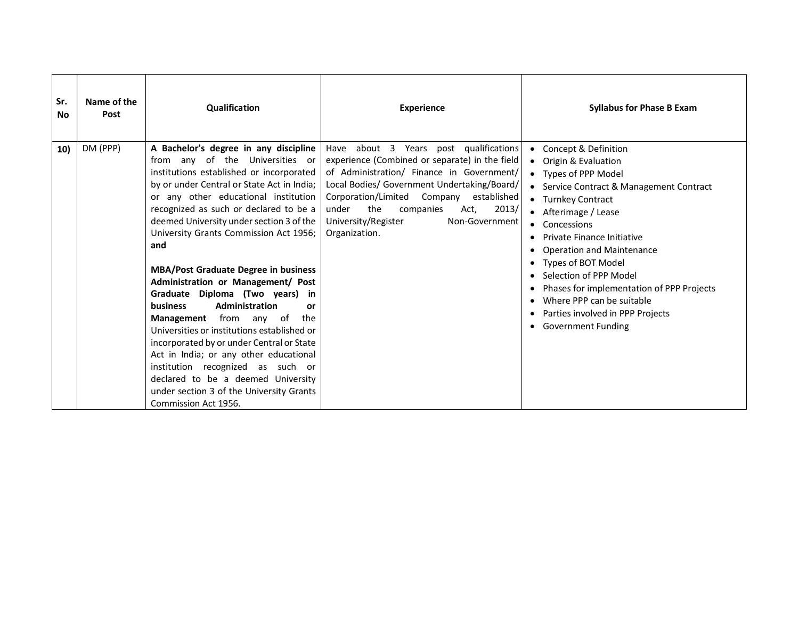| Sr.<br><b>No</b> | Name of the<br>Post | <b>Qualification</b>                                                                                                                                                                                                                                                                                                                                                                                                                                                                                                                                                                                                                                                                                                                                                                                                                                        | <b>Experience</b>                                                                                                                                                                                                                                                                                                                             | <b>Syllabus for Phase B Exam</b>                                                                                                                                                                                                                                                                                                                                                                                                                                                                    |
|------------------|---------------------|-------------------------------------------------------------------------------------------------------------------------------------------------------------------------------------------------------------------------------------------------------------------------------------------------------------------------------------------------------------------------------------------------------------------------------------------------------------------------------------------------------------------------------------------------------------------------------------------------------------------------------------------------------------------------------------------------------------------------------------------------------------------------------------------------------------------------------------------------------------|-----------------------------------------------------------------------------------------------------------------------------------------------------------------------------------------------------------------------------------------------------------------------------------------------------------------------------------------------|-----------------------------------------------------------------------------------------------------------------------------------------------------------------------------------------------------------------------------------------------------------------------------------------------------------------------------------------------------------------------------------------------------------------------------------------------------------------------------------------------------|
| 10)              | DM (PPP)            | A Bachelor's degree in any discipline<br>from any of the Universities or<br>institutions established or incorporated<br>by or under Central or State Act in India;<br>or any other educational institution<br>recognized as such or declared to be a<br>deemed University under section 3 of the<br>University Grants Commission Act 1956;<br>and<br><b>MBA/Post Graduate Degree in business</b><br>Administration or Management/ Post<br>Graduate Diploma (Two years)<br>in<br>Administration<br><b>business</b><br><b>or</b><br><b>Management</b> from any of<br>the<br>Universities or institutions established or<br>incorporated by or under Central or State<br>Act in India; or any other educational<br>institution recognized as such or<br>declared to be a deemed University<br>under section 3 of the University Grants<br>Commission Act 1956. | about 3 Years post qualifications<br>Have<br>experience (Combined or separate) in the field<br>of Administration/ Finance in Government/<br>Local Bodies/ Government Undertaking/Board/<br>Corporation/Limited Company<br>established<br>the<br>2013/<br>under<br>companies<br>Act,<br>University/Register<br>Non-Government<br>Organization. | Concept & Definition<br>٠<br>Origin & Evaluation<br>• Types of PPP Model<br>• Service Contract & Management Contract<br>• Turnkey Contract<br>• Afterimage / Lease<br>• Concessions<br><b>Private Finance Initiative</b><br><b>Operation and Maintenance</b><br>Types of BOT Model<br>$\bullet$<br>Selection of PPP Model<br>Phases for implementation of PPP Projects<br>٠<br>Where PPP can be suitable<br>Parties involved in PPP Projects<br>$\bullet$<br><b>Government Funding</b><br>$\bullet$ |